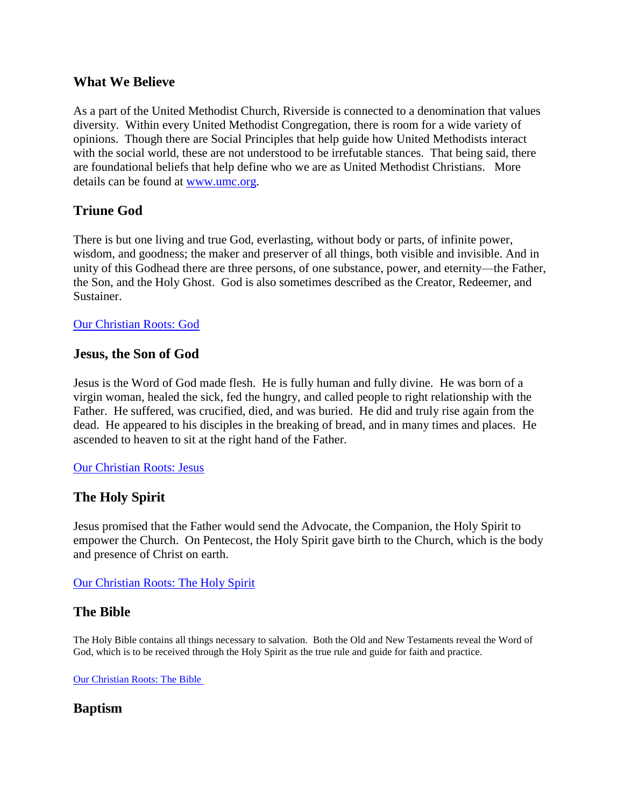## **What We Believe**

As a part of the United Methodist Church, Riverside is connected to a denomination that values diversity. Within every United Methodist Congregation, there is room for a wide variety of opinions. Though there are Social Principles that help guide how United Methodists interact with the social world, these are not understood to be irrefutable stances. That being said, there are foundational beliefs that help define who we are as United Methodist Christians. More details can be found at [www.umc.org.](http://www.umc.org/beliefs)

## **Triune God**

There is but one living and true God, everlasting, without body or parts, of infinite power, wisdom, and goodness; the maker and preserver of all things, both visible and invisible. And in unity of this Godhead there are three persons, of one substance, power, and eternity—the Father, the Son, and the Holy Ghost. God is also sometimes described as the Creator, Redeemer, and Sustainer.

#### [Our Christian Roots: God](http://www.umc.org/what-we-believe/our-christian-roots-god)

#### **Jesus, the Son of God**

Jesus is the Word of God made flesh. He is fully human and fully divine. He was born of a virgin woman, healed the sick, fed the hungry, and called people to right relationship with the Father. He suffered, was crucified, died, and was buried. He did and truly rise again from the dead. He appeared to his disciples in the breaking of bread, and in many times and places. He ascended to heaven to sit at the right hand of the Father.

#### [Our Christian Roots: Jesus](http://www.umc.org/what-we-believe/our-christian-roots-jesus)

#### **The Holy Spirit**

Jesus promised that the Father would send the Advocate, the Companion, the Holy Spirit to empower the Church. On Pentecost, the Holy Spirit gave birth to the Church, which is the body and presence of Christ on earth.

#### [Our Christian Roots: The Holy Spirit](http://www.umc.org/what-we-believe/our-christian-roots-the-holy-spirit)

#### **The Bible**

The Holy Bible contains all things necessary to salvation. Both the Old and New Testaments reveal the Word of God, which is to be received through the Holy Spirit as the true rule and guide for faith and practice.

Our Christian Roots: The Bible

## **Baptism**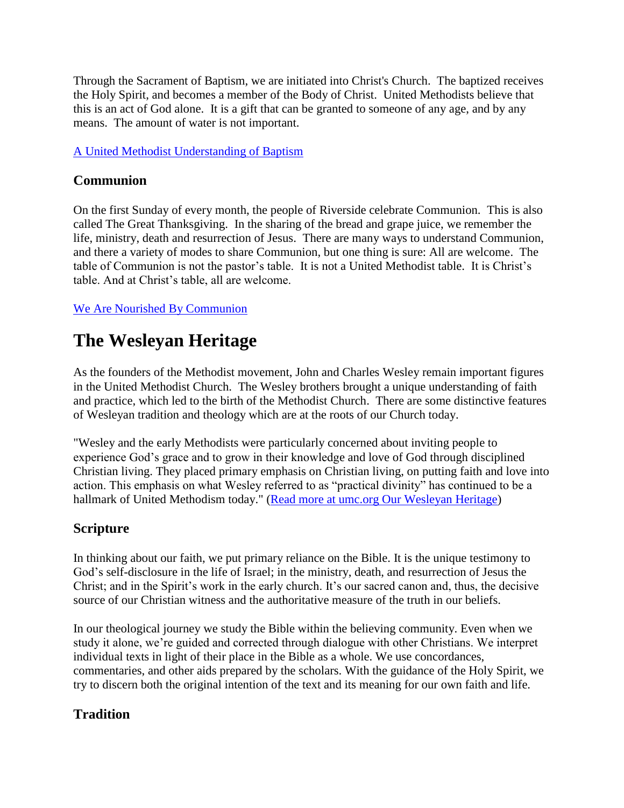Through the Sacrament of Baptism, we are initiated into Christ's Church. The baptized receives the Holy Spirit, and becomes a member of the Body of Christ. United Methodists believe that this is an act of God alone. It is a gift that can be granted to someone of any age, and by any means. The amount of water is not important.

## [A United Methodist Understanding of Baptism](http://www.umc.org/what-we-believe/baptism)

## **Communion**

On the first Sunday of every month, the people of Riverside celebrate Communion. This is also called The Great Thanksgiving. In the sharing of the bread and grape juice, we remember the life, ministry, death and resurrection of Jesus. There are many ways to understand Communion, and there a variety of modes to share Communion, but one thing is sure: All are welcome. The table of Communion is not the pastor's table. It is not a United Methodist table. It is Christ's table. And at Christ's table, all are welcome.

[We Are Nourished By Communion](http://www.umc.org/what-we-believe/communion1)

# **The Wesleyan Heritage**

As the founders of the Methodist movement, John and Charles Wesley remain important figures in the United Methodist Church. The Wesley brothers brought a unique understanding of faith and practice, which led to the birth of the Methodist Church. There are some distinctive features of Wesleyan tradition and theology which are at the roots of our Church today.

"Wesley and the early Methodists were particularly concerned about inviting people to experience God's grace and to grow in their knowledge and love of God through disciplined Christian living. They placed primary emphasis on Christian living, on putting faith and love into action. This emphasis on what Wesley referred to as "practical divinity" has continued to be a hallmark of United Methodism today." [\(Read more at umc.org Our Wesleyan Heritage\)](http://www.umc.org/what-we-believe/our-wesleyan-heritage)

# **Scripture**

In thinking about our faith, we put primary reliance on the Bible. It is the unique testimony to God's self-disclosure in the life of Israel; in the ministry, death, and resurrection of Jesus the Christ; and in the Spirit's work in the early church. It's our sacred canon and, thus, the decisive source of our Christian witness and the authoritative measure of the truth in our beliefs.

In our theological journey we study the Bible within the believing community. Even when we study it alone, we're guided and corrected through dialogue with other Christians. We interpret individual texts in light of their place in the Bible as a whole. We use concordances, commentaries, and other aids prepared by the scholars. With the guidance of the Holy Spirit, we try to discern both the original intention of the text and its meaning for our own faith and life.

# **Tradition**